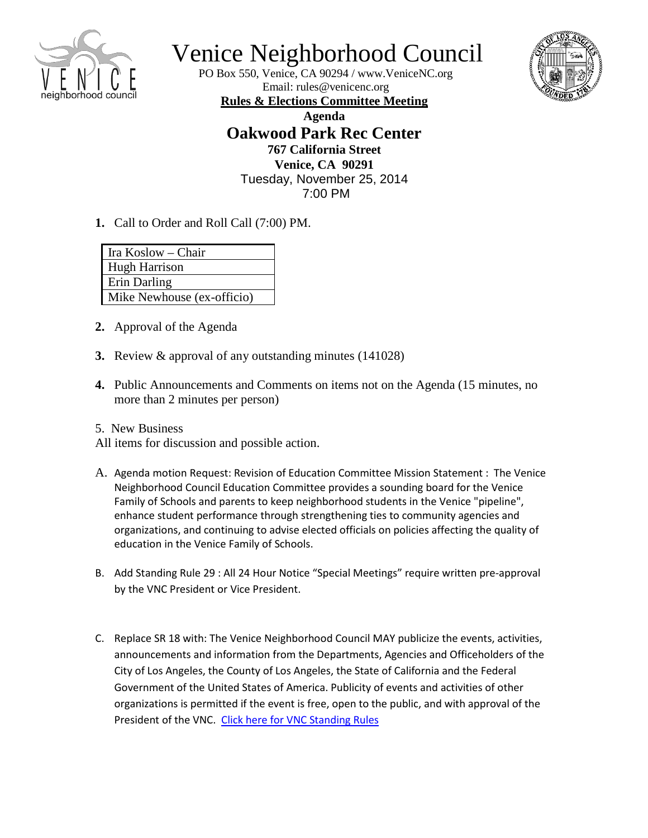

## Venice Neighborhood Council

PO Box 550, Venice, CA 90294 / [www.VeniceNC.org](http://www.venicenc.org/) Email: [rules@venicenc.org](mailto:rules@venicenc.org)



**Rules & Elections Committee Meeting Agenda Oakwood Park Rec Center 767 California Street Venice, CA 90291** Tuesday, November 25, 2014 7:00 PM

**1.** Call to Order and Roll Call (7:00) PM.

| Ira Koslow – Chair         |
|----------------------------|
| <b>Hugh Harrison</b>       |
| Erin Darling               |
| Mike Newhouse (ex-officio) |

- **2.** Approval of the Agenda
- **3.** Review & approval of any outstanding minutes (141028)
- **4.** Public Announcements and Comments on items not on the Agenda (15 minutes, no more than 2 minutes per person)
- 5. New Business

All items for discussion and possible action.

- A. Agenda motion Request: Revision of Education Committee Mission Statement : The Venice Neighborhood Council Education Committee provides a sounding board for the Venice Family of Schools and parents to keep neighborhood students in the Venice "pipeline", enhance student performance through strengthening ties to community agencies and organizations, and continuing to advise elected officials on policies affecting the quality of education in the Venice Family of Schools.
- B. Add Standing Rule 29 : All 24 Hour Notice "Special Meetings" require written pre-approval by the VNC President or Vice President.
- C. Replace SR 18 with: The Venice Neighborhood Council MAY publicize the events, activities, announcements and information from the Departments, Agencies and Officeholders of the City of Los Angeles, the County of Los Angeles, the State of California and the Federal Government of the United States of America. Publicity of events and activities of other organizations is permitted if the event is free, open to the public, and with approval of the President of the VNC. [Click here for VNC Standing Rules](http://www.venicenc.org/wp-content/uploads/2013/01/VNC-StandingRules-revised-140520.pdf)